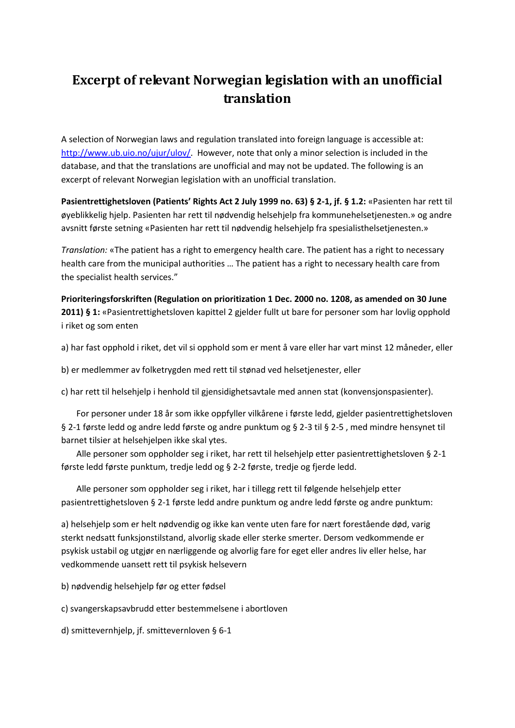## **Excerpt of relevant Norwegian legislation with an unofficial translation**

A selection of Norwegian laws and regulation translated into foreign language is accessible at: [http://www.ub.uio.no/ujur/ulov/.](http://www.ub.uio.no/ujur/ulov/) However, note that only a minor selection is included in the database, and that the translations are unofficial and may not be updated. The following is an excerpt of relevant Norwegian legislation with an unofficial translation.

**Pasientrettighetsloven (Patients' Rights Act 2 July 1999 no. 63) § 2-1, jf. § 1.2:** «Pasienten har rett til øyeblikkelig hjelp. Pasienten har rett til nødvendig helsehjelp fra kommunehelsetjenesten.» og andre avsnitt første setning «Pasienten har rett til nødvendig helsehjelp fra spesialisthelsetjenesten.»

*Translation:* «The patient has a right to emergency health care. The patient has a right to necessary health care from the municipal authorities … The patient has a right to necessary health care from the specialist health services."

**Prioriteringsforskriften (Regulation on prioritization 1 Dec. 2000 no. 1208, as amended on 30 June 2011) § 1:** «Pasientrettighetsloven kapittel 2 gjelder fullt ut bare for personer som har lovlig opphold i riket og som enten

a) har fast opphold i riket, det vil si opphold som er ment å vare eller har vart minst 12 måneder, eller

b) er medlemmer av folketrygden med rett til stønad ved helsetjenester, eller

c) har rett til helsehjelp i henhold til gjensidighetsavtale med annen stat (konvensjonspasienter).

 For personer under 18 år som ikke oppfyller vilkårene i første ledd, gjelder pasientrettighetsloven § 2-1 første ledd og andre ledd første og andre punktum og § 2-3 til § 2-5 , med mindre hensynet til barnet tilsier at helsehjelpen ikke skal ytes.

 Alle personer som oppholder seg i riket, har rett til helsehjelp etter pasientrettighetsloven § 2-1 første ledd første punktum, tredje ledd og § 2-2 første, tredje og fjerde ledd.

 Alle personer som oppholder seg i riket, har i tillegg rett til følgende helsehjelp etter pasientrettighetsloven § 2-1 første ledd andre punktum og andre ledd første og andre punktum:

a) helsehjelp som er helt nødvendig og ikke kan vente uten fare for nært forestående død, varig sterkt nedsatt funksjonstilstand, alvorlig skade eller sterke smerter. Dersom vedkommende er psykisk ustabil og utgjør en nærliggende og alvorlig fare for eget eller andres liv eller helse, har vedkommende uansett rett til psykisk helsevern

b) nødvendig helsehjelp før og etter fødsel

c) svangerskapsavbrudd etter bestemmelsene i abortloven

d) smittevernhjelp, jf. smittevernloven § 6-1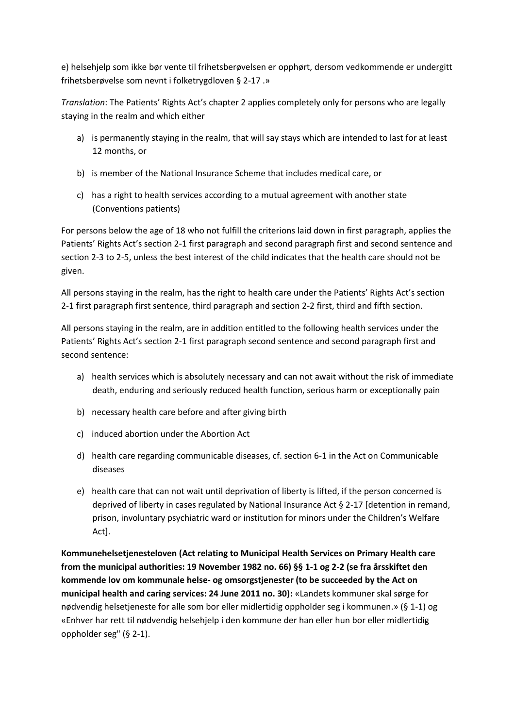e) helsehjelp som ikke bør vente til frihetsberøvelsen er opphørt, dersom vedkommende er undergitt frihetsberøvelse som nevnt i folketrygdloven § 2-17 .»

*Translation*: The Patients' Rights Act's chapter 2 applies completely only for persons who are legally staying in the realm and which either

- a) is permanently staying in the realm, that will say stays which are intended to last for at least 12 months, or
- b) is member of the National Insurance Scheme that includes medical care, or
- c) has a right to health services according to a mutual agreement with another state (Conventions patients)

For persons below the age of 18 who not fulfill the criterions laid down in first paragraph, applies the Patients' Rights Act's section 2-1 first paragraph and second paragraph first and second sentence and section 2-3 to 2-5, unless the best interest of the child indicates that the health care should not be given.

All persons staying in the realm, has the right to health care under the Patients' Rights Act's section 2-1 first paragraph first sentence, third paragraph and section 2-2 first, third and fifth section.

All persons staying in the realm, are in addition entitled to the following health services under the Patients' Rights Act's section 2-1 first paragraph second sentence and second paragraph first and second sentence:

- a) health services which is absolutely necessary and can not await without the risk of immediate death, enduring and seriously reduced health function, serious harm or exceptionally pain
- b) necessary health care before and after giving birth
- c) induced abortion under the Abortion Act
- d) health care regarding communicable diseases, cf. section 6-1 in the Act on Communicable diseases
- e) health care that can not wait until deprivation of liberty is lifted, if the person concerned is deprived of liberty in cases regulated by National Insurance Act § 2-17 [detention in remand, prison, involuntary psychiatric ward or institution for minors under the Children's Welfare Act].

**Kommunehelsetjenesteloven (Act relating to Municipal Health Services on Primary Health care from the municipal authorities: 19 November 1982 no. 66) §§ 1-1 og 2-2 (se fra årsskiftet den kommende lov om kommunale helse- og omsorgstjenester (to be succeeded by the Act on municipal health and caring services: 24 June 2011 no. 30):** «Landets kommuner skal sørge for nødvendig helsetjeneste for alle som bor eller midlertidig oppholder seg i kommunen.» (§ 1-1) og «Enhver har rett til nødvendig helsehjelp i den kommune der han eller hun bor eller midlertidig oppholder seg" (§ 2-1).